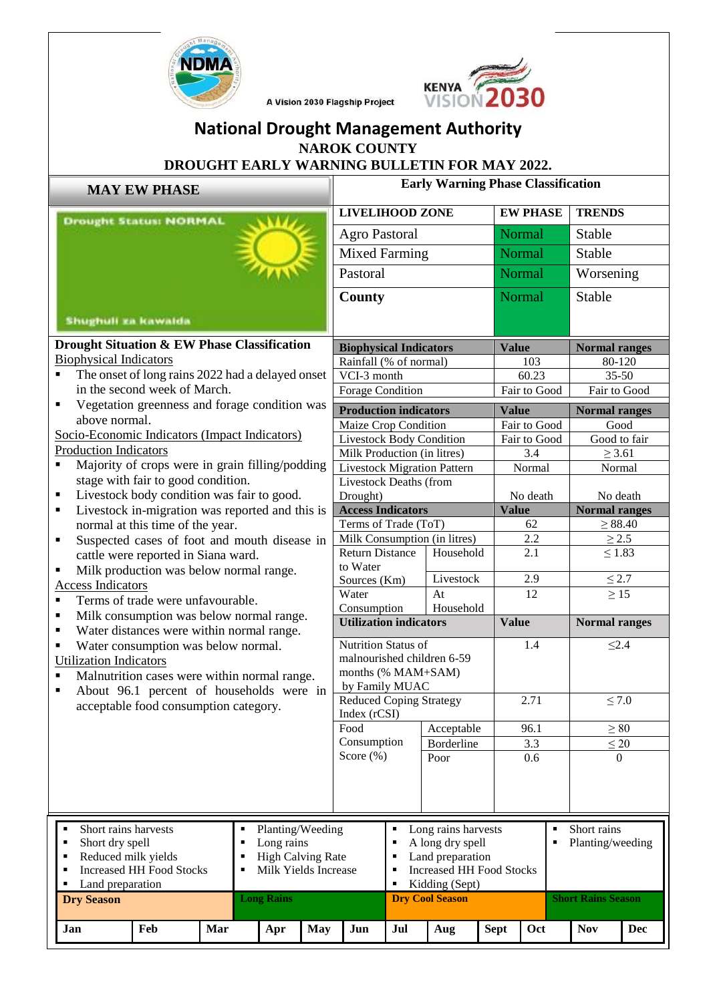



A Vision 2030 Flagship Project

## **National Drought Management Authority NAROK COUNTY**

## **DROUGHT EARLY WARNING BULLETIN FOR MAY 2022.**

| <b>MAY EW PHASE</b>                                                                                     |                                                 |  |                                                  |                                            | <b>Early Warning Phase Classification</b>            |                        |                  |                                                 |                              |                      |                                  |  |
|---------------------------------------------------------------------------------------------------------|-------------------------------------------------|--|--------------------------------------------------|--------------------------------------------|------------------------------------------------------|------------------------|------------------|-------------------------------------------------|------------------------------|----------------------|----------------------------------|--|
| <b>Drought Status: NORMAL</b>                                                                           |                                                 |  |                                                  |                                            | <b>LIVELIHOOD ZONE</b>                               |                        |                  |                                                 | <b>EW PHASE</b>              |                      | <b>TRENDS</b>                    |  |
|                                                                                                         |                                                 |  |                                                  |                                            | <b>Agro Pastoral</b>                                 |                        |                  |                                                 | Normal<br>Stable             |                      |                                  |  |
|                                                                                                         |                                                 |  |                                                  |                                            | <b>Mixed Farming</b>                                 |                        |                  |                                                 | Normal                       | Stable               |                                  |  |
|                                                                                                         |                                                 |  |                                                  |                                            | Pastoral                                             |                        |                  |                                                 | Normal                       | Worsening            |                                  |  |
|                                                                                                         |                                                 |  |                                                  |                                            | <b>County</b>                                        |                        |                  |                                                 | Normal                       | Stable               |                                  |  |
|                                                                                                         |                                                 |  |                                                  |                                            |                                                      |                        |                  |                                                 |                              |                      |                                  |  |
| <b>Shughuli za kawaida</b>                                                                              |                                                 |  |                                                  |                                            |                                                      |                        |                  |                                                 |                              |                      |                                  |  |
| Drought Situation & EW Phase Classification                                                             |                                                 |  |                                                  |                                            | <b>Biophysical Indicators</b>                        |                        |                  | <b>Value</b>                                    |                              | <b>Normal ranges</b> |                                  |  |
| <b>Biophysical Indicators</b>                                                                           |                                                 |  |                                                  |                                            | Rainfall (% of normal)                               |                        |                  |                                                 | 103                          |                      | 80-120                           |  |
|                                                                                                         |                                                 |  | The onset of long rains 2022 had a delayed onset |                                            | VCI-3 month                                          |                        |                  |                                                 | 60.23                        | $35 - 50$            |                                  |  |
|                                                                                                         | in the second week of March.                    |  |                                                  |                                            | <b>Forage Condition</b>                              |                        |                  |                                                 | Fair to Good<br>Fair to Good |                      |                                  |  |
| ٠                                                                                                       | Vegetation greenness and forage condition was   |  |                                                  |                                            | <b>Production indicators</b>                         |                        |                  | <b>Value</b>                                    |                              | <b>Normal ranges</b> |                                  |  |
| above normal.                                                                                           |                                                 |  |                                                  |                                            |                                                      | Maize Crop Condition   |                  |                                                 | Fair to Good                 |                      | Good                             |  |
| Socio-Economic Indicators (Impact Indicators)                                                           |                                                 |  |                                                  |                                            | <b>Livestock Body Condition</b>                      |                        |                  |                                                 | Fair to Good                 | Good to fair         |                                  |  |
| <b>Production Indicators</b>                                                                            |                                                 |  |                                                  | Milk Production (in litres)                |                                                      |                        |                  | 3.4<br>$\geq$ 3.61                              |                              |                      |                                  |  |
| ٠                                                                                                       | Majority of crops were in grain filling/podding |  |                                                  |                                            | <b>Livestock Migration Pattern</b>                   |                        |                  |                                                 | Normal                       |                      | Normal                           |  |
|                                                                                                         | stage with fair to good condition.              |  |                                                  |                                            | <b>Livestock Deaths (from</b>                        |                        |                  |                                                 |                              |                      |                                  |  |
| Livestock body condition was fair to good.<br>٠<br>Livestock in-migration was reported and this is      |                                                 |  |                                                  |                                            | Drought)                                             |                        |                  |                                                 | No death                     |                      | No death<br><b>Normal ranges</b> |  |
| ٠                                                                                                       |                                                 |  |                                                  |                                            | <b>Access Indicators</b>                             |                        |                  | <b>Value</b>                                    | 62                           |                      |                                  |  |
| normal at this time of the year.                                                                        |                                                 |  |                                                  |                                            | Terms of Trade (ToT)<br>Milk Consumption (in litres) |                        |                  | 2.2                                             | $\geq 88.40$<br>$\geq 2.5$   |                      |                                  |  |
| Suspected cases of foot and mouth disease in<br>$\blacksquare$                                          |                                                 |  |                                                  |                                            | <b>Return Distance</b><br>Household                  |                        |                  | 2.1                                             |                              | $\leq 1.83$          |                                  |  |
|                                                                                                         | cattle were reported in Siana ward.             |  |                                                  |                                            | to Water                                             |                        |                  |                                                 |                              |                      |                                  |  |
| Milk production was below normal range.<br>$\blacksquare$<br><b>Access Indicators</b>                   |                                                 |  |                                                  |                                            | Sources (Km)                                         |                        | Livestock        |                                                 | 2.9                          |                      | $\leq 2.7$                       |  |
| $\blacksquare$                                                                                          | Terms of trade were unfavourable.               |  |                                                  |                                            | Water                                                |                        | At               |                                                 | 12                           |                      | $\geq 15$                        |  |
| $\blacksquare$                                                                                          |                                                 |  |                                                  |                                            | Consumption                                          |                        | Household        |                                                 |                              |                      |                                  |  |
| Milk consumption was below normal range.<br>Water distances were within normal range.<br>٠              |                                                 |  |                                                  |                                            | <b>Utilization indicators</b>                        |                        |                  | <b>Value</b>                                    |                              | <b>Normal ranges</b> |                                  |  |
| ٠                                                                                                       |                                                 |  |                                                  |                                            | Nutrition Status of                                  |                        |                  |                                                 | 1.4                          |                      | $\leq 2.4$                       |  |
| Water consumption was below normal.<br><b>Utilization Indicators</b>                                    |                                                 |  |                                                  |                                            | malnourished children 6-59                           |                        |                  |                                                 |                              |                      |                                  |  |
| Malnutrition cases were within normal range.                                                            |                                                 |  |                                                  |                                            | months (% MAM+SAM)                                   |                        |                  |                                                 |                              |                      |                                  |  |
| About 96.1 percent of households were in<br>$\blacksquare$                                              |                                                 |  |                                                  |                                            | by Family MUAC                                       |                        |                  |                                                 |                              |                      |                                  |  |
|                                                                                                         | acceptable food consumption category.           |  |                                                  |                                            | <b>Reduced Coping Strategy</b><br>Index (rCSI)       |                        |                  |                                                 | 2.71                         |                      | $\leq 7.0$                       |  |
|                                                                                                         |                                                 |  |                                                  |                                            | Food<br>Acceptable                                   |                        |                  | 96.1                                            |                              | $\geq 80$            |                                  |  |
|                                                                                                         |                                                 |  |                                                  |                                            | Consumption                                          |                        | Borderline       |                                                 | 3.3                          |                      | $\leq 20$                        |  |
|                                                                                                         |                                                 |  |                                                  |                                            | Score $(\% )$                                        |                        | Poor             |                                                 | 0.6                          |                      | $\Omega$                         |  |
|                                                                                                         |                                                 |  |                                                  |                                            |                                                      |                        |                  |                                                 |                              |                      |                                  |  |
|                                                                                                         |                                                 |  |                                                  |                                            |                                                      |                        |                  |                                                 |                              |                      |                                  |  |
|                                                                                                         |                                                 |  |                                                  |                                            |                                                      |                        |                  |                                                 |                              |                      |                                  |  |
|                                                                                                         |                                                 |  |                                                  |                                            |                                                      |                        |                  |                                                 |                              |                      |                                  |  |
| Short rains harvests<br>Planting/Weeding<br>٠<br>$\blacksquare$                                         |                                                 |  |                                                  | Long rains harvests<br>٠<br>$\blacksquare$ |                                                      |                        |                  | Short rains<br>$\blacksquare$<br>$\blacksquare$ |                              |                      |                                  |  |
| Short dry spell<br>Long rains<br>Reduced milk yields<br><b>High Calving Rate</b><br>$\blacksquare$<br>Е |                                                 |  |                                                  | A long dry spell<br>Land preparation<br>×  |                                                      |                        | Planting/weeding |                                                 |                              |                      |                                  |  |
| <b>Increased HH Food Stocks</b><br>Milk Yields Increase<br>$\blacksquare$<br>п                          |                                                 |  |                                                  |                                            | <b>Increased HH Food Stocks</b><br>×                 |                        |                  |                                                 |                              |                      |                                  |  |
| Land preparation                                                                                        |                                                 |  |                                                  |                                            |                                                      | p                      | Kidding (Sept)   |                                                 |                              |                      |                                  |  |
| <b>Dry Season</b>                                                                                       |                                                 |  | <b>Long Rains</b>                                |                                            |                                                      | <b>Dry Cool Season</b> |                  |                                                 |                              |                      | <b>Short Rains Season</b>        |  |
| Feb<br>Mar<br>Jan                                                                                       |                                                 |  | Apr                                              | <b>May</b>                                 | Jun                                                  | Jul                    | Aug              | <b>Sept</b>                                     | Oct                          | <b>Nov</b>           | <b>Dec</b>                       |  |
|                                                                                                         |                                                 |  |                                                  |                                            |                                                      |                        |                  |                                                 |                              |                      |                                  |  |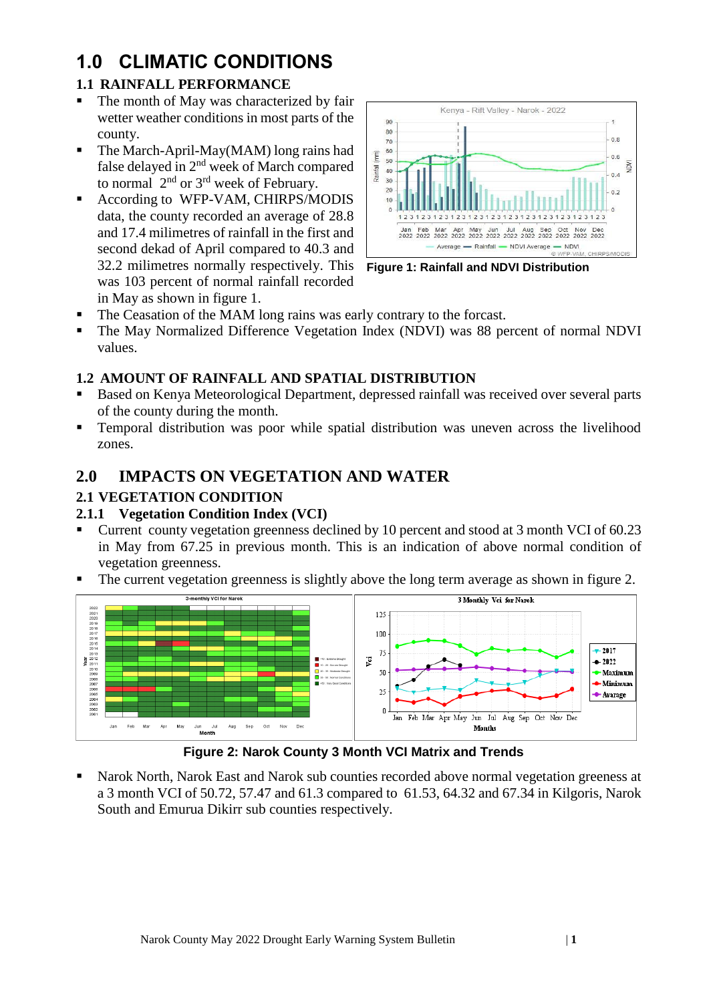# **1.0 CLIMATIC CONDITIONS**

### **1.1 RAINFALL PERFORMANCE**

- The month of May was characterized by fair wetter weather conditions in most parts of the county.
- The March-April-May(MAM) long rains had false delayed in 2nd week of March compared to normal  $2<sup>nd</sup>$  or  $3<sup>rd</sup>$  week of February.
- According to WFP-VAM, CHIRPS/MODIS data, the county recorded an average of 28.8 and 17.4 milimetres of rainfall in the first and second dekad of April compared to 40.3 and 32.2 milimetres normally respectively. This was 103 percent of normal rainfall recorded in May as shown in figure 1.



**Figure 1: Rainfall and NDVI Distribution**

- The Ceasation of the MAM long rains was early contrary to the forcast.
- The May Normalized Difference Vegetation Index (NDVI) was 88 percent of normal NDVI values.

#### **1.2 AMOUNT OF RAINFALL AND SPATIAL DISTRIBUTION**

- Based on Kenya Meteorological Department, depressed rainfall was received over several parts of the county during the month.
- Temporal distribution was poor while spatial distribution was uneven across the livelihood zones.

## **2.0 IMPACTS ON VEGETATION AND WATER**

#### **2.1 VEGETATION CONDITION**

#### **2.1.1 Vegetation Condition Index (VCI)**

- Current county vegetation greenness declined by 10 percent and stood at 3 month VCI of 60.23 in May from 67.25 in previous month. This is an indication of above normal condition of vegetation greenness.
- The current vegetation greenness is slightly above the long term average as shown in figure 2.



**Figure 2: Narok County 3 Month VCI Matrix and Trends**

Narok North, Narok East and Narok sub counties recorded above normal vegetation greeness at a 3 month VCI of 50.72, 57.47 and 61.3 compared to 61.53, 64.32 and 67.34 in Kilgoris, Narok South and Emurua Dikirr sub counties respectively.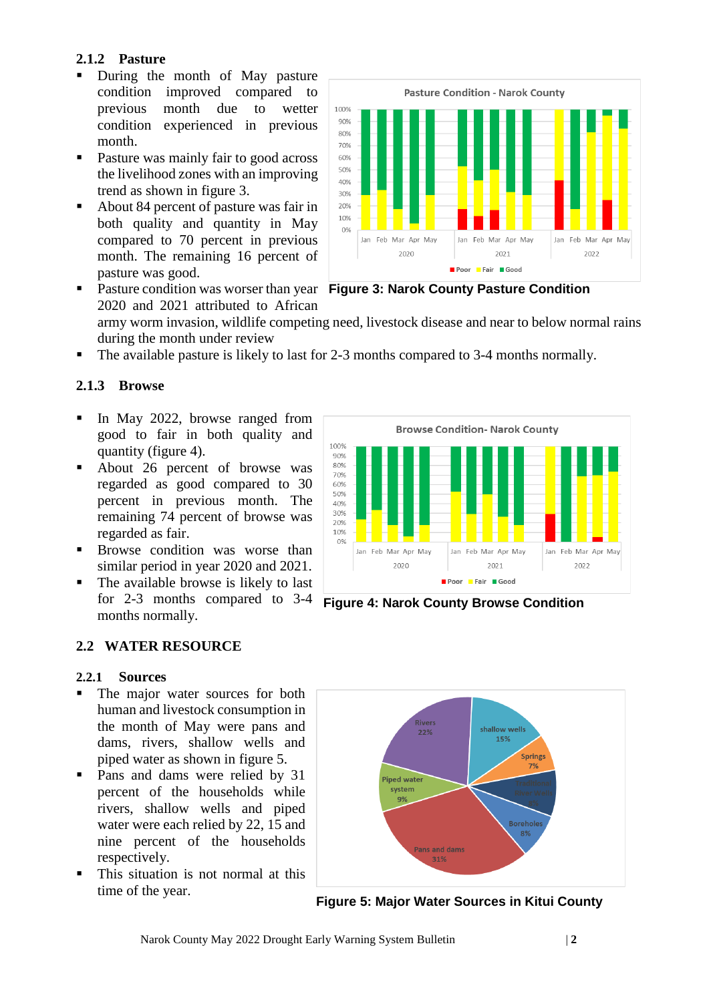#### **2.1.2 Pasture**

- During the month of May pasture condition improved compared to previous month due to wetter condition experienced in previous month.
- Pasture was mainly fair to good across the livelihood zones with an improving trend as shown in figure 3.
- About 84 percent of pasture was fair in both quality and quantity in May compared to 70 percent in previous month. The remaining 16 percent of pasture was good.

**Pasture Condition - Narok County** 100% 90%  $80%$ 70% 60% 50%  $40%$ 30% 20% 10%  $O%$ Jan Feb Mar Apr May Jan Feb Mar Apr May Jan Feb Mar Apr May 2020 2021 2022 Poor Fair Good

**EXECUTE:** Pasture condition was worser than year Figure 3: Narok County Pasture Condition 2020 and 2021 attributed to African army worm invasion, wildlife competing need, livestock disease and near to below normal rains during the month under review

The available pasture is likely to last for 2-3 months compared to 3-4 months normally.

### **2.1.3 Browse**

- In May 2022, browse ranged from good to fair in both quality and quantity (figure 4).
- About 26 percent of browse was regarded as good compared to 30 percent in previous month. The remaining 74 percent of browse was regarded as fair.
- Browse condition was worse than similar period in year 2020 and 2021.
- The available browse is likely to last for 2-3 months compared to 3-4 months normally.



#### **2.2.1 Sources**

- The major water sources for both human and livestock consumption in the month of May were pans and dams, rivers, shallow wells and piped water as shown in figure 5.
- Pans and dams were relied by 31 percent of the households while rivers, shallow wells and piped water were each relied by 22, 15 and nine percent of the households respectively.
- This situation is not normal at this time of the year.



**Figure 4: Narok County Browse Condition**



**Figure 5: Major Water Sources in Kitui County**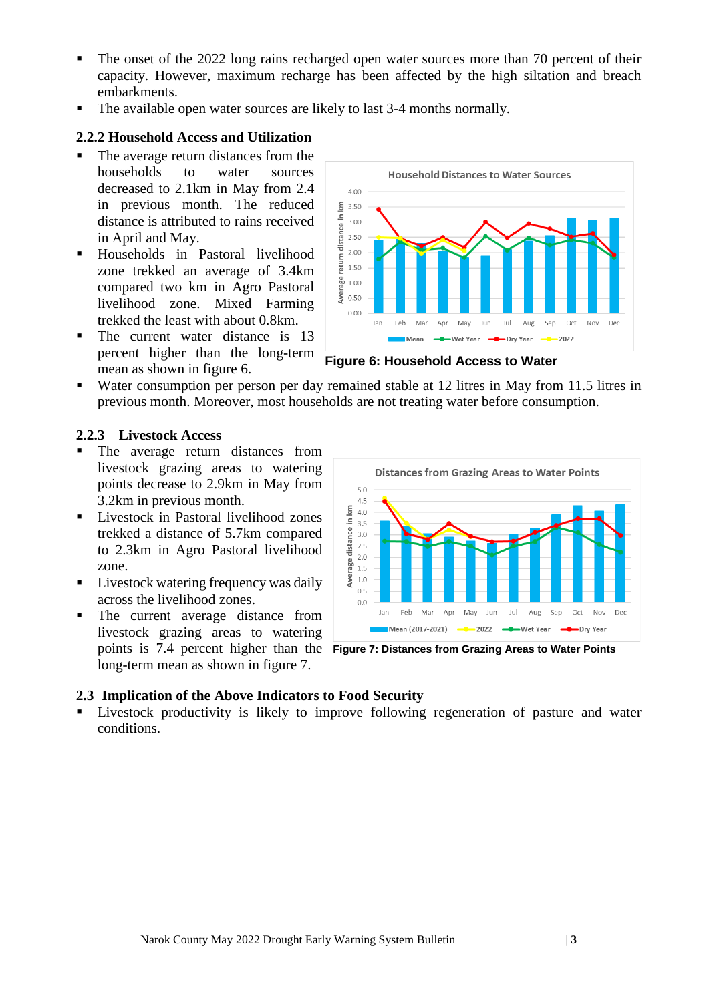- The onset of the 2022 long rains recharged open water sources more than 70 percent of their capacity. However, maximum recharge has been affected by the high siltation and breach embarkments.
- The available open water sources are likely to last 3-4 months normally.

#### **2.2.2 Household Access and Utilization**

- The average return distances from the households to water sources decreased to 2.1km in May from 2.4 in previous month. The reduced distance is attributed to rains received in April and May.
- Households in Pastoral livelihood zone trekked an average of 3.4km compared two km in Agro Pastoral livelihood zone. Mixed Farming trekked the least with about 0.8km.
- The current water distance is 13 percent higher than the long-term mean as shown in figure 6.



**Figure 6: Household Access to Water**

Water consumption per person per day remained stable at 12 litres in May from 11.5 litres in previous month. Moreover, most households are not treating water before consumption.

#### **2.2.3 Livestock Access**

- The average return distances from livestock grazing areas to watering points decrease to 2.9km in May from 3.2km in previous month.
- Livestock in Pastoral livelihood zones trekked a distance of 5.7km compared to 2.3km in Agro Pastoral livelihood zone.
- Livestock watering frequency was daily across the livelihood zones.
- The current average distance from livestock grazing areas to watering long-term mean as shown in figure 7.



points is 7.4 percent higher than the **Figure 7: Distances from Grazing Areas to Water Points**

#### **2.3 Implication of the Above Indicators to Food Security**

▪ Livestock productivity is likely to improve following regeneration of pasture and water conditions.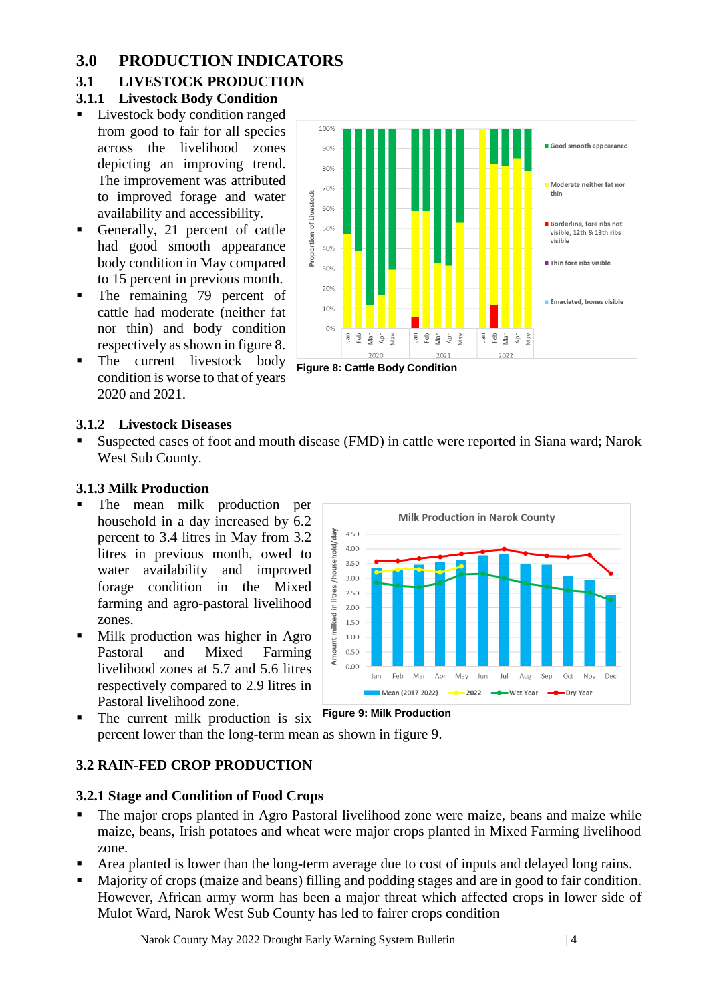## **3.0 PRODUCTION INDICATORS**

## **3.1 LIVESTOCK PRODUCTION**

### **3.1.1 Livestock Body Condition**

- Livestock body condition ranged from good to fair for all species across the livelihood zones depicting an improving trend. The improvement was attributed to improved forage and water availability and accessibility.
- Generally, 21 percent of cattle had good smooth appearance body condition in May compared to 15 percent in previous month.
- The remaining 79 percent of cattle had moderate (neither fat nor thin) and body condition respectively as shown in figure 8.
- The current livestock body condition is worse to that of years 2020 and 2021.





#### **3.1.2 Livestock Diseases**

Suspected cases of foot and mouth disease (FMD) in cattle were reported in Siana ward; Narok West Sub County.

#### **3.1.3 Milk Production**

- The mean milk production per household in a day increased by 6.2 percent to 3.4 litres in May from 3.2 litres in previous month, owed to water availability and improved forage condition in the Mixed farming and agro-pastoral livelihood zones.
- Milk production was higher in Agro Pastoral and Mixed Farming livelihood zones at 5.7 and 5.6 litres respectively compared to 2.9 litres in Pastoral livelihood zone.



The current milk production is six **Figure 9: Milk Production**

## percent lower than the long-term mean as shown in figure 9.

#### **3.2 RAIN-FED CROP PRODUCTION**

#### **3.2.1 Stage and Condition of Food Crops**

- The major crops planted in Agro Pastoral livelihood zone were maize, beans and maize while maize, beans, Irish potatoes and wheat were major crops planted in Mixed Farming livelihood zone.
- Area planted is lower than the long-term average due to cost of inputs and delayed long rains.
- Majority of crops (maize and beans) filling and podding stages and are in good to fair condition. However, African army worm has been a major threat which affected crops in lower side of Mulot Ward, Narok West Sub County has led to fairer crops condition

Narok County May 2022 Drought Early Warning System Bulletin | **4**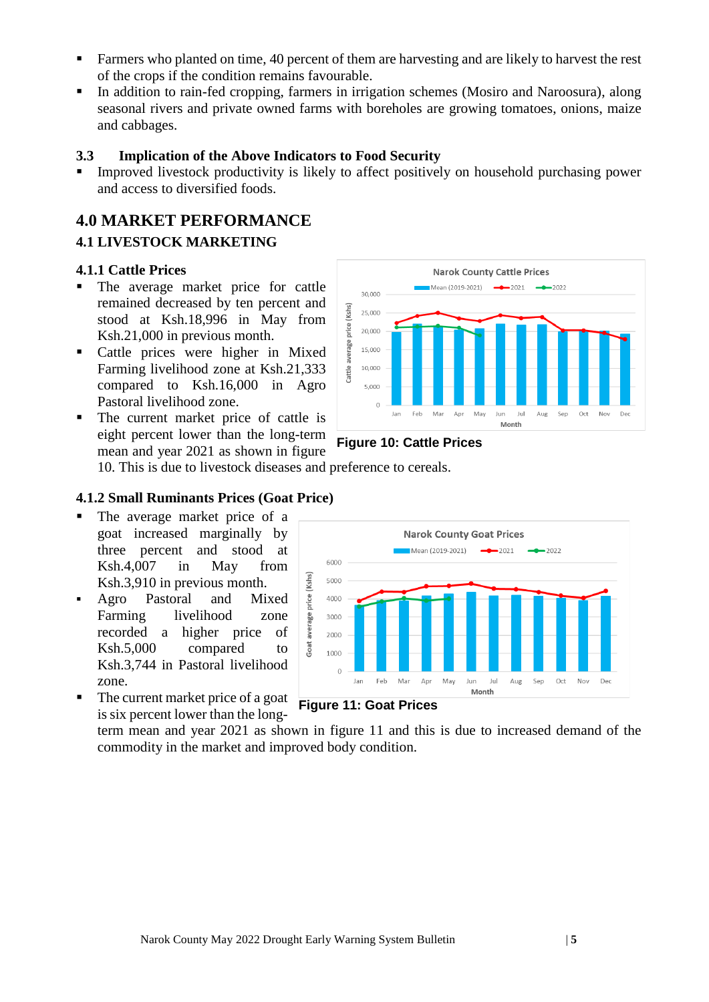- Farmers who planted on time, 40 percent of them are harvesting and are likely to harvest the rest of the crops if the condition remains favourable.
- In addition to rain-fed cropping, farmers in irrigation schemes (Mosiro and Naroosura), along seasonal rivers and private owned farms with boreholes are growing tomatoes, onions, maize and cabbages.

#### **3.3 Implication of the Above Indicators to Food Security**

Improved livestock productivity is likely to affect positively on household purchasing power and access to diversified foods.

## **4.0 MARKET PERFORMANCE 4.1 LIVESTOCK MARKETING**

#### **4.1.1 Cattle Prices**

- The average market price for cattle remained decreased by ten percent and stood at Ksh.18,996 in May from Ksh.21,000 in previous month.
- Cattle prices were higher in Mixed Farming livelihood zone at Ksh.21,333 compared to Ksh.16,000 in Agro Pastoral livelihood zone.
- The current market price of cattle is eight percent lower than the long-term mean and year 2021 as shown in figure





10. This is due to livestock diseases and preference to cereals.

#### **4.1.2 Small Ruminants Prices (Goat Price)**

- The average market price of a goat increased marginally by three percent and stood at Ksh.4,007 in May from Ksh.3,910 in previous month.
- Agro Pastoral and Mixed Farming livelihood zone recorded a higher price of Ksh.5,000 compared to Ksh.3,744 in Pastoral livelihood zone.
- The current market price of a goat is six percent lower than the long-



#### **Figure 11: Goat Prices**

term mean and year 2021 as shown in figure 11 and this is due to increased demand of the commodity in the market and improved body condition.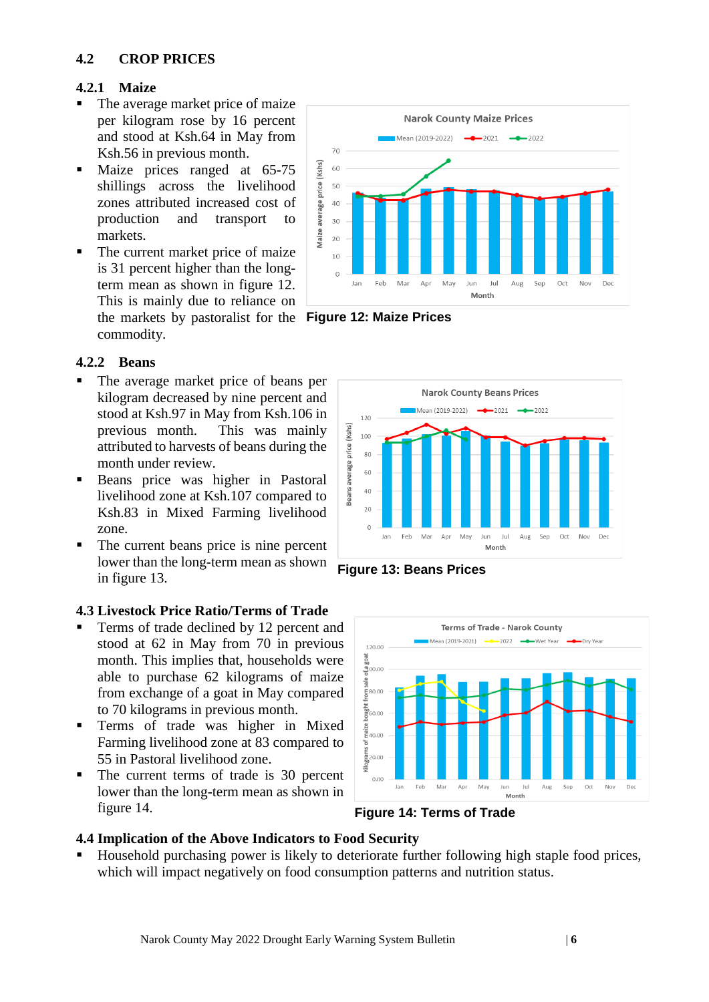#### **4.2 CROP PRICES**

#### **4.2.1 Maize**

- The average market price of maize per kilogram rose by 16 percent and stood at Ksh.64 in May from Ksh.56 in previous month.
- Maize prices ranged at 65-75 shillings across the livelihood zones attributed increased cost of production and transport to markets.
- The current market price of maize is 31 percent higher than the longterm mean as shown in figure 12. This is mainly due to reliance on the markets by pastoralist for the **Figure 12: Maize Prices** commodity.



#### **4.2.2 Beans**

- The average market price of beans per kilogram decreased by nine percent and stood at Ksh.97 in May from Ksh.106 in previous month. This was mainly attributed to harvests of beans during the month under review.
- Beans price was higher in Pastoral livelihood zone at Ksh.107 compared to Ksh.83 in Mixed Farming livelihood zone.
- The current beans price is nine percent lower than the long-term mean as shown in figure 13.

#### **4.3 Livestock Price Ratio/Terms of Trade**

- Terms of trade declined by 12 percent and stood at 62 in May from 70 in previous month. This implies that, households were able to purchase 62 kilograms of maize from exchange of a goat in May compared to 70 kilograms in previous month.
- Terms of trade was higher in Mixed Farming livelihood zone at 83 compared to 55 in Pastoral livelihood zone.
- The current terms of trade is 30 percent lower than the long-term mean as shown in figure 14.







**Figure 14: Terms of Trade**

#### **4.4 Implication of the Above Indicators to Food Security**

Household purchasing power is likely to deteriorate further following high staple food prices, which will impact negatively on food consumption patterns and nutrition status.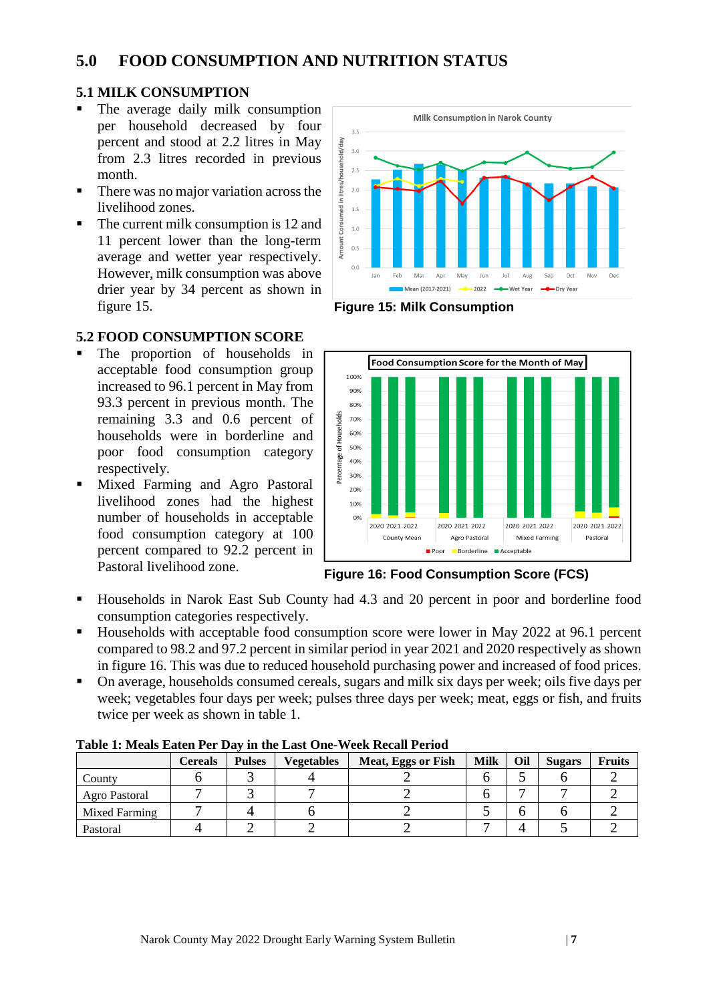## **5.0 FOOD CONSUMPTION AND NUTRITION STATUS**

#### **5.1 MILK CONSUMPTION**

- The average daily milk consumption per household decreased by four percent and stood at 2.2 litres in May from 2.3 litres recorded in previous month.
- There was no major variation across the livelihood zones.
- The current milk consumption is 12 and 11 percent lower than the long-term average and wetter year respectively. However, milk consumption was above drier year by 34 percent as shown in figure 15.



**Figure 15: Milk Consumption**

#### **5.2 FOOD CONSUMPTION SCORE**

- The proportion of households in acceptable food consumption group increased to 96.1 percent in May from 93.3 percent in previous month. The remaining 3.3 and 0.6 percent of households were in borderline and poor food consumption category respectively.
- Mixed Farming and Agro Pastoral livelihood zones had the highest number of households in acceptable food consumption category at 100 percent compared to 92.2 percent in Pastoral livelihood zone.



**Figure 16: Food Consumption Score (FCS)**

- Households in Narok East Sub County had 4.3 and 20 percent in poor and borderline food consumption categories respectively.
- Households with acceptable food consumption score were lower in May 2022 at 96.1 percent compared to 98.2 and 97.2 percent in similar period in year 2021 and 2020 respectively as shown in figure 16. This was due to reduced household purchasing power and increased of food prices.
- On average, households consumed cereals, sugars and milk six days per week; oils five days per week; vegetables four days per week; pulses three days per week; meat, eggs or fish, and fruits twice per week as shown in table 1.

|               | <b>Cereals</b> | <b>Pulses</b> | <b>Vegetables</b> | Meat, Eggs or Fish | <b>Milk</b> | Oil | <b>Sugars</b> | <b>Fruits</b> |
|---------------|----------------|---------------|-------------------|--------------------|-------------|-----|---------------|---------------|
| County        |                |               |                   |                    |             |     |               |               |
| Agro Pastoral |                |               |                   |                    |             |     |               |               |
| Mixed Farming |                |               |                   |                    |             |     |               |               |
| Pastoral      |                |               |                   |                    |             |     |               |               |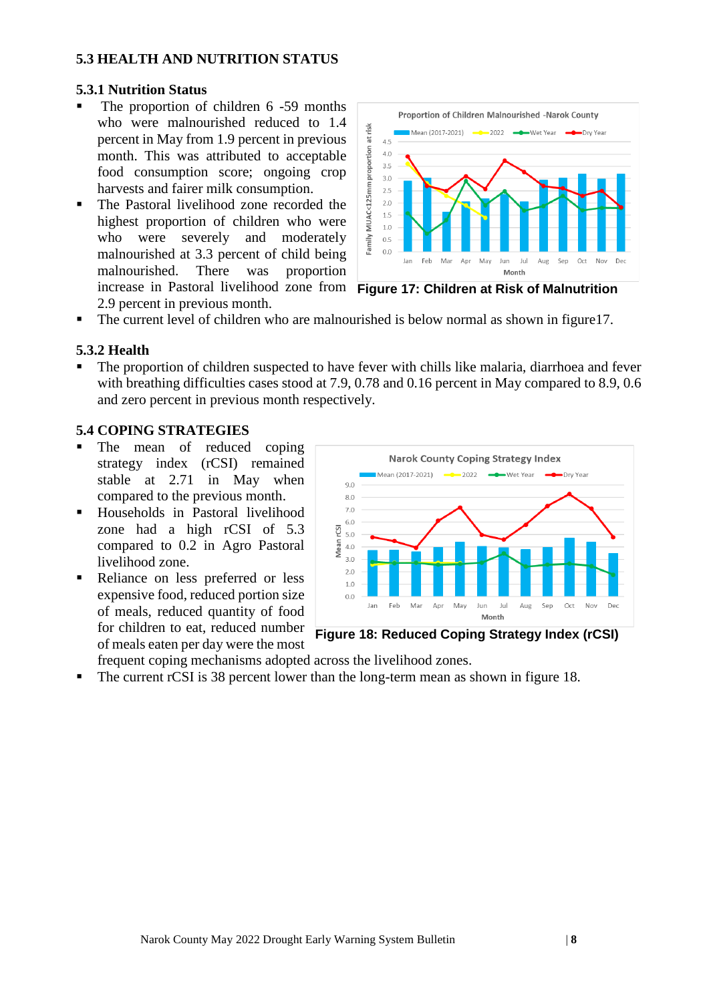#### **5.3 HEALTH AND NUTRITION STATUS**

#### **5.3.1 Nutrition Status**

- The proportion of children 6 -59 months who were malnourished reduced to 1.4 percent in May from 1.9 percent in previous month. This was attributed to acceptable food consumption score; ongoing crop harvests and fairer milk consumption.
- The Pastoral livelihood zone recorded the highest proportion of children who were who were severely and moderately malnourished at 3.3 percent of child being malnourished. There was proportion increase in Pastoral livelihood zone from **Figure 17: Children at Risk of Malnutrition** 2.9 percent in previous month.



The current level of children who are malnourished is below normal as shown in figure17.

#### **5.3.2 Health**

The proportion of children suspected to have fever with chills like malaria, diarrhoea and fever with breathing difficulties cases stood at 7.9, 0.78 and 0.16 percent in May compared to 8.9, 0.6 and zero percent in previous month respectively.

#### **5.4 COPING STRATEGIES**

- The mean of reduced coping strategy index (rCSI) remained stable at 2.71 in May when compared to the previous month.
- Households in Pastoral livelihood zone had a high rCSI of 5.3 compared to 0.2 in Agro Pastoral livelihood zone.
- Reliance on less preferred or less expensive food, reduced portion size of meals, reduced quantity of food for children to eat, reduced number of meals eaten per day were the most



**Figure 18: Reduced Coping Strategy Index (rCSI)**

frequent coping mechanisms adopted across the livelihood zones.

The current rCSI is 38 percent lower than the long-term mean as shown in figure 18.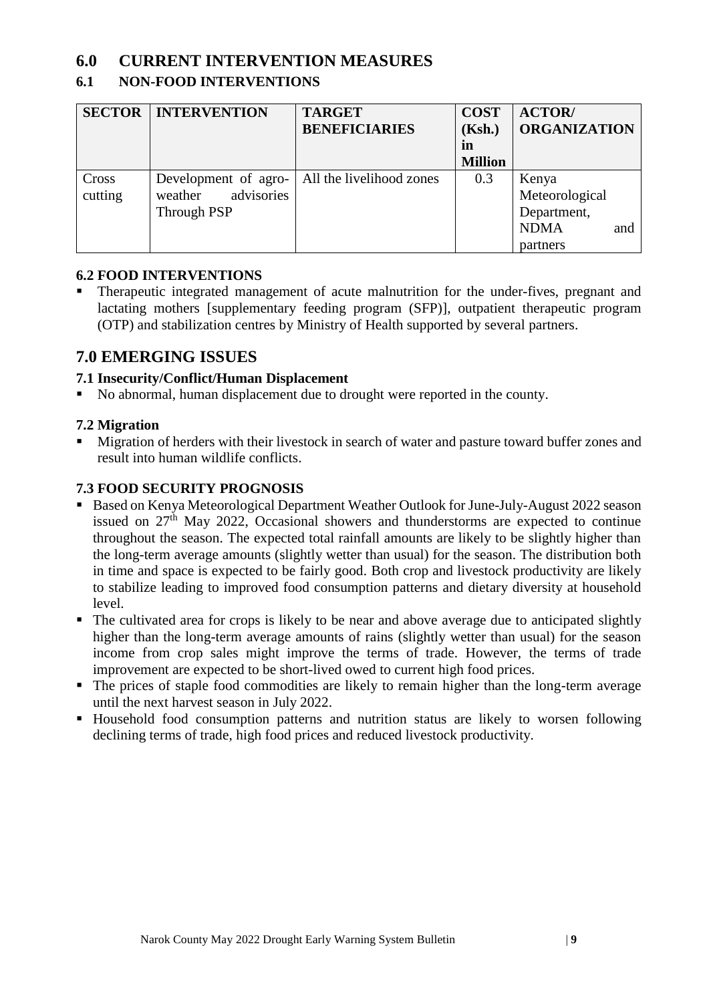## **6.0 CURRENT INTERVENTION MEASURES**

#### **6.1 NON-FOOD INTERVENTIONS**

| <b>SECTOR</b> | <b>INTERVENTION</b>   | <b>TARGET</b>            | <b>COST</b>    | <b>ACTOR</b> /      |
|---------------|-----------------------|--------------------------|----------------|---------------------|
|               |                       | <b>BENEFICIARIES</b>     | (Ksh.)         | <b>ORGANIZATION</b> |
|               |                       |                          | in             |                     |
|               |                       |                          | <b>Million</b> |                     |
| Cross         | Development of agro-  | All the livelihood zones | 0.3            | Kenya               |
| cutting       | advisories<br>weather |                          |                | Meteorological      |
|               | Through PSP           |                          |                | Department,         |
|               |                       |                          |                | <b>NDMA</b><br>and  |
|               |                       |                          |                | partners            |

#### **6.2 FOOD INTERVENTIONS**

Therapeutic integrated management of acute malnutrition for the under-fives, pregnant and lactating mothers [supplementary feeding program (SFP)], outpatient therapeutic program (OTP) and stabilization centres by Ministry of Health supported by several partners.

### **7.0 EMERGING ISSUES**

#### **7.1 Insecurity/Conflict/Human Displacement**

■ No abnormal, human displacement due to drought were reported in the county.

#### **7.2 Migration**

■ Migration of herders with their livestock in search of water and pasture toward buffer zones and result into human wildlife conflicts.

#### **7.3 FOOD SECURITY PROGNOSIS**

- Based on Kenya Meteorological Department Weather Outlook for June-July-August 2022 season issued on  $27<sup>th</sup>$  May 2022, Occasional showers and thunderstorms are expected to continue throughout the season. The expected total rainfall amounts are likely to be slightly higher than the long-term average amounts (slightly wetter than usual) for the season. The distribution both in time and space is expected to be fairly good. Both crop and livestock productivity are likely to stabilize leading to improved food consumption patterns and dietary diversity at household level.
- The cultivated area for crops is likely to be near and above average due to anticipated slightly higher than the long-term average amounts of rains (slightly wetter than usual) for the season income from crop sales might improve the terms of trade. However, the terms of trade improvement are expected to be short-lived owed to current high food prices.
- The prices of staple food commodities are likely to remain higher than the long-term average until the next harvest season in July 2022.
- Household food consumption patterns and nutrition status are likely to worsen following declining terms of trade, high food prices and reduced livestock productivity.